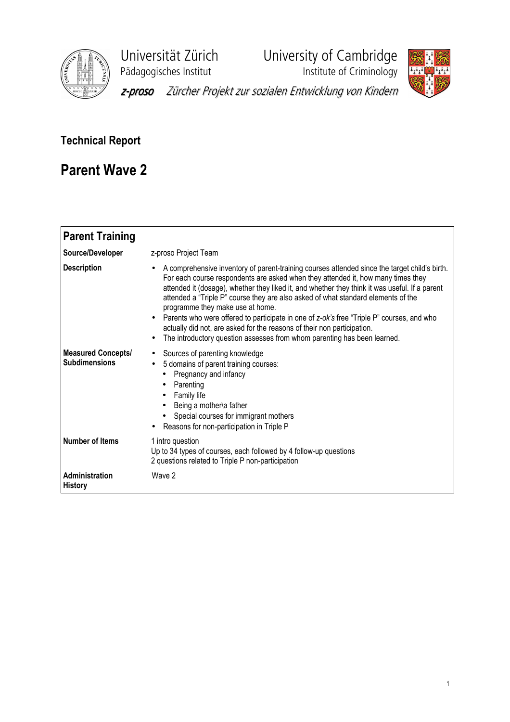

Universität Zürich<br>
Pädagogisches Institut<br>
Institute of Criminology

**Phagagogisches**<br>Institute of Criminology



z-proso Zürcher Projekt zur sozialen Entwicklung von Kindern

## Technical Report

## Parent Wave 2

| <b>Parent Training</b>                            |                                                                                                                                                                                                                                                                                                                                                                                                                                                                                                                                                                                                                                                                                            |
|---------------------------------------------------|--------------------------------------------------------------------------------------------------------------------------------------------------------------------------------------------------------------------------------------------------------------------------------------------------------------------------------------------------------------------------------------------------------------------------------------------------------------------------------------------------------------------------------------------------------------------------------------------------------------------------------------------------------------------------------------------|
| Source/Developer                                  | z-proso Project Team                                                                                                                                                                                                                                                                                                                                                                                                                                                                                                                                                                                                                                                                       |
| <b>Description</b>                                | A comprehensive inventory of parent-training courses attended since the target child's birth.<br>For each course respondents are asked when they attended it, how many times they<br>attended it (dosage), whether they liked it, and whether they think it was useful. If a parent<br>attended a "Triple P" course they are also asked of what standard elements of the<br>programme they make use at home.<br>Parents who were offered to participate in one of z-ok's free "Triple P" courses, and who<br>$\bullet$<br>actually did not, are asked for the reasons of their non participation.<br>The introductory question assesses from whom parenting has been learned.<br>$\bullet$ |
| <b>Measured Concepts/</b><br><b>Subdimensions</b> | Sources of parenting knowledge<br>$\bullet$<br>5 domains of parent training courses:<br>Pregnancy and infancy<br>Parenting<br>$\bullet$<br>Family life<br>Being a mother\a father<br>Special courses for immigrant mothers<br>Reasons for non-participation in Triple P                                                                                                                                                                                                                                                                                                                                                                                                                    |
| <b>Number of Items</b>                            | 1 intro question<br>Up to 34 types of courses, each followed by 4 follow-up questions<br>2 questions related to Triple P non-participation                                                                                                                                                                                                                                                                                                                                                                                                                                                                                                                                                 |
| <b>Administration</b><br>History                  | Wave 2                                                                                                                                                                                                                                                                                                                                                                                                                                                                                                                                                                                                                                                                                     |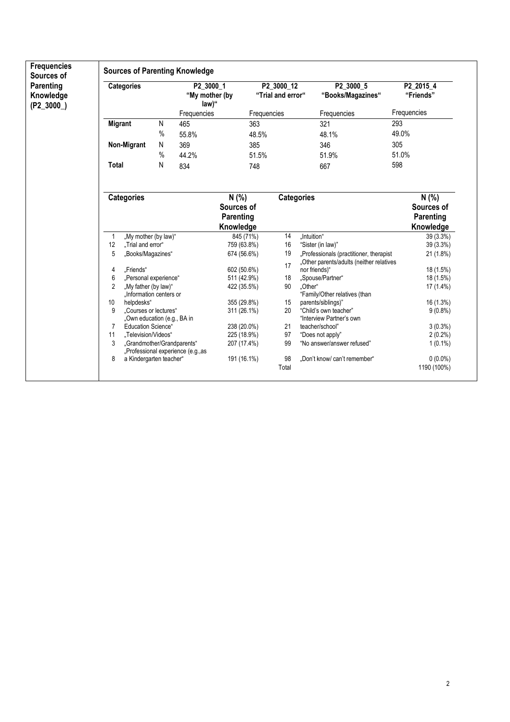| Sources of                            | <b>Sources of Parenting Knowledge</b> |                                                           |                   |                                    |                                      |                                 |       |                                                                                     |                        |  |
|---------------------------------------|---------------------------------------|-----------------------------------------------------------|-------------------|------------------------------------|--------------------------------------|---------------------------------|-------|-------------------------------------------------------------------------------------|------------------------|--|
| Parenting<br>Knowledge<br>$(P2_3000)$ |                                       | <b>Categories</b>                                         |                   |                                    | P2_3000_1<br>"My mother (by<br>law)" | P2 3000 12<br>"Trial and error" |       | P2 3000 5<br>"Books/Magazines"                                                      | P2 2015 4<br>"Friends" |  |
|                                       |                                       |                                                           |                   | Frequencies                        |                                      | Frequencies                     |       | Frequencies                                                                         | Frequencies            |  |
|                                       | <b>Migrant</b>                        |                                                           | N                 | 465                                |                                      | 363                             |       | 321                                                                                 | 293                    |  |
|                                       |                                       |                                                           | $\%$              | 55.8%                              |                                      | 48.5%                           |       | 48.1%                                                                               | 49.0%                  |  |
|                                       |                                       | Non-Migrant                                               | N                 | 369                                |                                      | 385                             |       | 346                                                                                 | 305                    |  |
|                                       |                                       |                                                           | $\%$              | 44.2%                              |                                      | 51.5%                           |       | 51.9%                                                                               | 51.0%                  |  |
|                                       | <b>Total</b>                          |                                                           | Ν                 | 834                                |                                      | 748                             |       | 667                                                                                 | 598                    |  |
|                                       |                                       |                                                           |                   |                                    |                                      |                                 |       |                                                                                     |                        |  |
|                                       |                                       | <b>Categories</b>                                         |                   |                                    | N(% )                                |                                 |       | <b>Categories</b>                                                                   | N(% )                  |  |
|                                       |                                       |                                                           |                   |                                    | Sources of                           |                                 |       |                                                                                     | Sources of             |  |
|                                       |                                       |                                                           |                   |                                    | Parenting                            |                                 |       |                                                                                     | Parenting              |  |
|                                       |                                       |                                                           |                   |                                    | Knowledge                            |                                 |       |                                                                                     | Knowledge              |  |
|                                       | 1                                     | "My mother (by law)"                                      |                   |                                    | 845 (71%)                            |                                 | 14    | "Intuition"                                                                         | 39 (3.3%)              |  |
|                                       | 12                                    | "Trial and error"                                         |                   |                                    | 759 (63.8%)                          |                                 | 16    | "Sister (in law)"                                                                   | 39 (3.3%)              |  |
|                                       | 5                                     |                                                           | "Books/Magazines" |                                    | 674 (56.6%)                          |                                 | 19    | "Professionals (practitioner, therapist<br>"Other parents/adults (neither relatives | 21 (1.8%)              |  |
|                                       | 4                                     | "Friends"                                                 |                   |                                    | 602 (50.6%)                          |                                 | 17    | nor friends)"                                                                       | 18 (1.5%)              |  |
|                                       | 6                                     | "Personal experience"                                     |                   |                                    | 511 (42.9%)                          |                                 | 18    | "Spouse/Partner"                                                                    | 18 (1.5%)              |  |
|                                       | 2                                     | "My father (by law)"                                      |                   |                                    | 422 (35.5%)                          |                                 | 90    | "Other"                                                                             | 17 (1.4%)              |  |
|                                       |                                       | "Information centers or                                   |                   |                                    |                                      |                                 |       | "Family/Other relatives (than                                                       |                        |  |
|                                       | 10                                    | helpdesks"                                                |                   |                                    | 355 (29.8%)                          |                                 | 15    | parents/siblings)"                                                                  | 16 (1.3%)              |  |
|                                       | 9                                     | "Courses or lectures"                                     |                   |                                    | 311 (26.1%)                          |                                 | 20    | "Child's own teacher"                                                               | $9(0.8\%)$             |  |
|                                       | 7                                     | "Own education (e.g., BA in<br><b>Education Science</b> " |                   |                                    | 238 (20.0%)                          |                                 | 21    | "Interview Partner's own<br>teacher/school"                                         | $3(0.3\%)$             |  |
|                                       | 11                                    | "Television/Videos"                                       |                   |                                    | 225 (18.9%)                          |                                 | 97    | "Does not apply"                                                                    | $2(0.2\%)$             |  |
|                                       | 3                                     | "Grandmother/Grandparents"                                |                   |                                    | 207 (17.4%)                          |                                 | 99    | "No answer/answer refused"                                                          | $1(0.1\%)$             |  |
|                                       |                                       |                                                           |                   | "Professional experience (e.g., as |                                      |                                 |       |                                                                                     |                        |  |
|                                       | 8                                     | a Kindergarten teacher"                                   |                   |                                    | 191 (16.1%)                          |                                 | 98    | "Don't know/ can't remember"                                                        | $0(0.0\%)$             |  |
|                                       |                                       |                                                           |                   |                                    |                                      |                                 | Total |                                                                                     | 1190 (100%)            |  |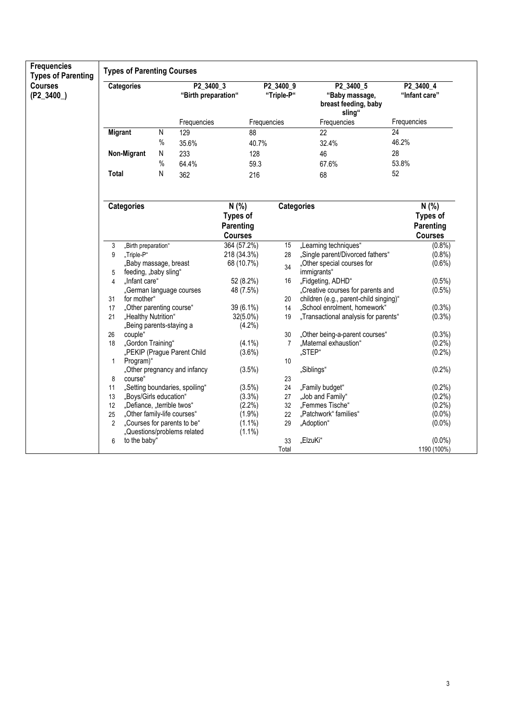| <b>Frequencies</b><br><b>Types of Parenting</b> |                   | <b>Types of Parenting Courses</b>      |           |                                  |                 |                         |                                                               |                 |                            |  |  |
|-------------------------------------------------|-------------------|----------------------------------------|-----------|----------------------------------|-----------------|-------------------------|---------------------------------------------------------------|-----------------|----------------------------|--|--|
| <b>Courses</b><br>$(P2_3400)$                   | <b>Categories</b> |                                        |           | P2_3400_3<br>"Birth preparation" |                 | P2 3400 9<br>"Triple-P" | P2_3400_5<br>"Baby massage,<br>breast feeding, baby<br>sling" |                 | P2_3400_4<br>"Infant care" |  |  |
|                                                 |                   |                                        |           | Frequencies                      | Frequencies     |                         | Frequencies                                                   | Frequencies     |                            |  |  |
|                                                 |                   | <b>Migrant</b>                         | ${\sf N}$ | 129                              | 88              |                         | $\overline{22}$                                               | $\overline{24}$ |                            |  |  |
|                                                 |                   |                                        | $\%$      | 35.6%                            | 40.7%           |                         | 32.4%                                                         | 46.2%           |                            |  |  |
|                                                 |                   | Non-Migrant                            | ${\sf N}$ | 233                              | 128             |                         | 46                                                            | 28              |                            |  |  |
|                                                 |                   |                                        | $\%$      | 64.4%                            | 59.3            |                         | 67.6%                                                         | 53.8%           |                            |  |  |
|                                                 | <b>Total</b>      |                                        | ${\sf N}$ | 362                              | 216             |                         | 68                                                            | 52              |                            |  |  |
|                                                 |                   |                                        |           |                                  |                 |                         |                                                               |                 |                            |  |  |
|                                                 |                   | <b>Categories</b>                      |           |                                  | $N$ (%)         |                         | <b>Categories</b>                                             |                 | $N(\%)$                    |  |  |
|                                                 |                   |                                        |           |                                  | <b>Types of</b> |                         |                                                               |                 | <b>Types of</b>            |  |  |
|                                                 |                   |                                        |           |                                  | Parenting       |                         |                                                               |                 | Parenting                  |  |  |
|                                                 |                   |                                        |           |                                  | <b>Courses</b>  |                         |                                                               |                 | <b>Courses</b>             |  |  |
|                                                 | 3                 | "Birth preparation"                    |           |                                  | 364 (57.2%)     | 15                      | "Learning techniques"                                         |                 | (0.8% )                    |  |  |
|                                                 | 9                 | "Triple-P"                             |           |                                  | 218 (34.3%)     | 28                      | "Single parent/Divorced fathers"                              |                 | $(0.8\%)$                  |  |  |
|                                                 |                   | "Baby massage, breast                  |           |                                  | 68 (10.7%)      | 34                      | "Other special courses for                                    |                 | $(0.6\%)$                  |  |  |
|                                                 | 5<br>4            | feeding, "baby sling"<br>"Infant care" |           |                                  | 52 (8.2%)       | 16                      | immigrants"<br>"Fidgeting, ADHD"                              |                 | $(0.5\%)$                  |  |  |
|                                                 |                   |                                        |           | "German language courses         | 48 (7.5%)       |                         | "Creative courses for parents and                             |                 | $(0.5\%)$                  |  |  |
|                                                 | 31                | for mother"                            |           |                                  |                 | 20                      | children (e.g., parent-child singing)"                        |                 |                            |  |  |
|                                                 | 17                | "Other parenting course"               |           |                                  | 39 (6.1%)       | 14                      | "School enrolment, homework"                                  |                 | $(0.3\%)$                  |  |  |
|                                                 | 21                | "Healthy Nutrition"                    |           |                                  | 32(5.0%)        | 19                      | "Transactional analysis for parents"                          |                 | $(0.3\%)$                  |  |  |
|                                                 |                   | "Being parents-staying a               |           |                                  | (4.2%)          |                         |                                                               |                 |                            |  |  |
|                                                 | 26                | couple"                                |           |                                  |                 | 30                      | "Other being-a-parent courses"                                |                 | $(0.3\%)$                  |  |  |
|                                                 | 18                | "Gordon Training"                      |           |                                  | $(4.1\%)$       | 7                       | "Maternal exhaustion"                                         |                 | $(0.2\%)$                  |  |  |
|                                                 |                   |                                        |           | "PEKIP (Prague Parent Child      | $(3.6\%)$       |                         | "STEP"                                                        |                 | $(0.2\%)$                  |  |  |
|                                                 | 1                 | Program)"                              |           |                                  |                 | 10 <sup>°</sup>         |                                                               |                 |                            |  |  |
|                                                 |                   |                                        |           | "Other pregnancy and infancy     | (3.5%)          |                         | "Siblings"                                                    |                 | (0.2%)                     |  |  |
|                                                 | 8                 | course"                                |           |                                  |                 | 23                      |                                                               |                 |                            |  |  |
|                                                 | 11                |                                        |           | "Setting boundaries, spoiling"   | (3.5%)          | 24                      | "Family budget"                                               |                 | $(0.2\%)$                  |  |  |
|                                                 | 13                | "Boys/Girls education"                 |           |                                  | (3.3%)          | 27                      | "Job and Family"                                              |                 | $(0.2\%)$                  |  |  |
|                                                 | 12                | "Defiance, "terrible twos"             |           |                                  | $(2.2\%)$       | 32                      | "Femmes Tische"                                               |                 | (0.2%                      |  |  |
|                                                 | 25                | "Other family-life courses"            |           |                                  | $(1.9\%)$       | 22                      | "Patchwork" families"                                         |                 | $(0.0\%)$                  |  |  |
|                                                 | $\overline{2}$    |                                        |           | "Courses for parents to be"      | $(1.1\%)$       | 29                      | "Adoption"                                                    |                 | $(0.0\%)$                  |  |  |
|                                                 |                   |                                        |           | "Questions/problems related      | $(1.1\%)$       |                         |                                                               |                 |                            |  |  |
|                                                 | 6                 | to the baby"                           |           |                                  |                 | 33                      | "ElzuKi"                                                      |                 | $(0.0\%)$                  |  |  |
|                                                 |                   |                                        |           |                                  |                 | Total                   |                                                               |                 | 1190 (100%)                |  |  |